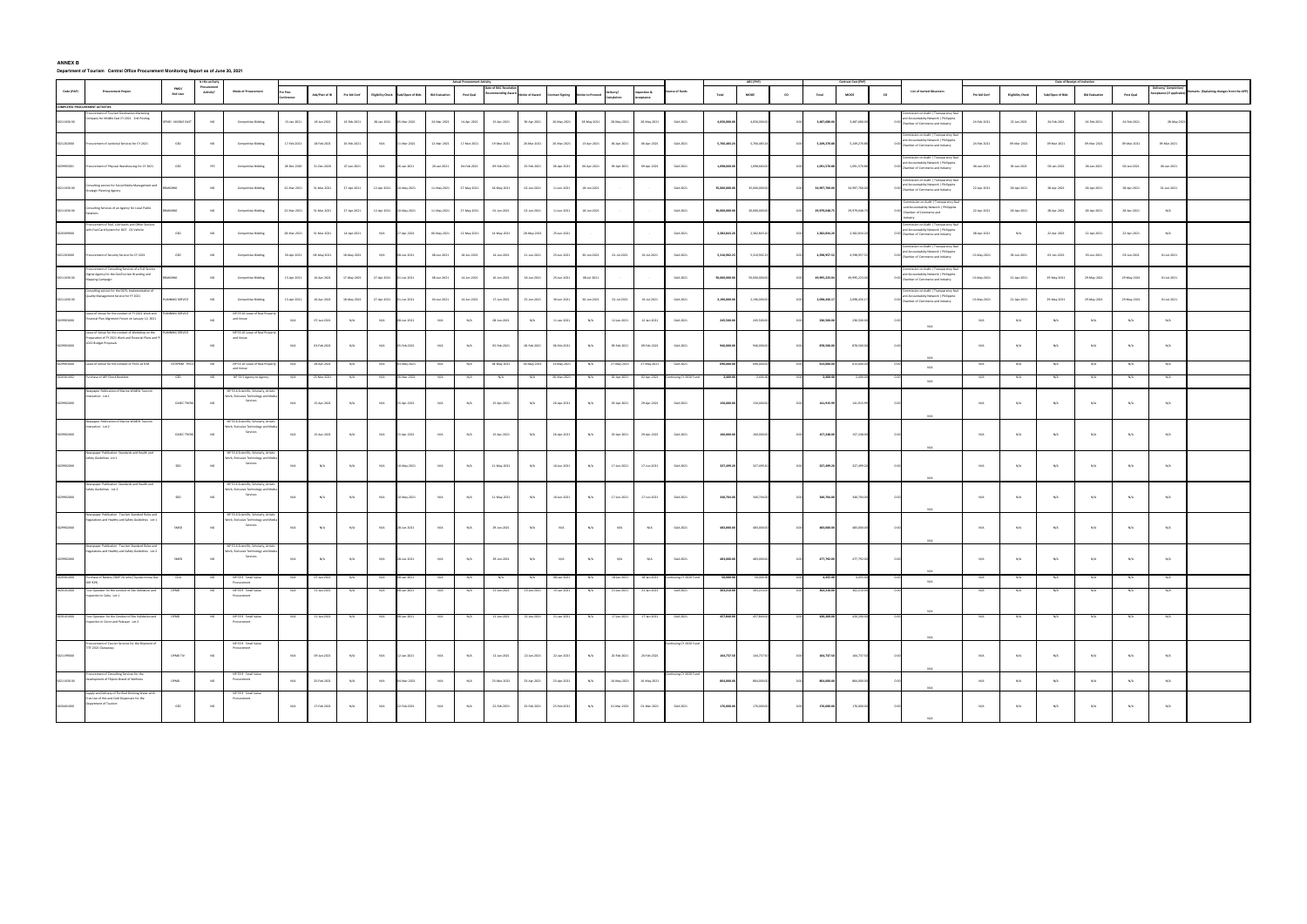## **ANNEX B Department of Tourism Central Office Procurement Monitoring Report as of June 30, 2021**

|             | <b>Actual Proc</b>                                                                                                                                         |                        |                          |                                                                                               |                       |                |              |                          |                 |             |             |             |             |                  |              |                     |                       |                       |               |              |      |               |               | Date of Receipt of Invitat |                                                                                                                                                  |              |                          |                  |                       |             |                                              |                                           |
|-------------|------------------------------------------------------------------------------------------------------------------------------------------------------------|------------------------|--------------------------|-----------------------------------------------------------------------------------------------|-----------------------|----------------|--------------|--------------------------|-----------------|-------------|-------------|-------------|-------------|------------------|--------------|---------------------|-----------------------|-----------------------|---------------|--------------|------|---------------|---------------|----------------------------|--------------------------------------------------------------------------------------------------------------------------------------------------|--------------|--------------------------|------------------|-----------------------|-------------|----------------------------------------------|-------------------------------------------|
| Code (PAP)  | <b>Procurement Project</b>                                                                                                                                 | PMO/<br>End User       | Procurement<br>Activity? | <b>Mode of Procurement</b>                                                                    | Pre Proc<br>onference | Ads/Post of IB | Pre bid Conf | <b>Eligibility Check</b> | b/Open of Bids  |             | Post Qual   |             |             | Contract Signing | ice to Proce | livery/<br>mpletion | section &<br>ceptance | ce of Fund:           | Total         | MODE         | co   | Total         | ${\tt MOOE}$  | co                         | List of Invited Observers                                                                                                                        | Pre bid Conf | <b>Eligibility Check</b> | Sub/Open of Bids | <b>Bid Evaluation</b> | Post Qual   | elivery/ Completi<br>ceptance (If applicable | Remarks (Explaining changes from the APP) |
|             | <b>COMPLETED PROCUREMENT ACTIVITIES</b>                                                                                                                    |                        |                          |                                                                                               |                       |                |              |                          |                 |             |             |             |             |                  |              |                     |                       |                       |               |              |      |               |               |                            |                                                                                                                                                  |              |                          |                  |                       |             |                                              |                                           |
| 0211030 00  | mpany for Middle East CY 2021 2nd Posting                                                                                                                  | MD MIDDLE EAST         | NO                       | Competitive Bidding                                                                           | 15-Jan-2021           | 18-Jan-2021    | 16-Feb-2021  | 28-Jan-2021              | $-$ Mar $-2021$ | 24-Mar-2021 | 14-Apr-2021 | 15-Apr-2021 | 30-Apr-2021 | 26-May-2021      | 28-May-2021  | 28-May-2021         | 28-May-2021           | GAA 2021              | 4,050,000.00  | 4,050,000.0  |      | 3,487,680.00  | 3,487,680.00  |                            | ision on Audit   Transparency<br>d Accountability Network   Philippine<br>0.00 Chamber of Commerce and Industry                                  | 24-Feb-2021  | 22-Jan-2021              | 24-Feb-2021      | 24-Feb-2021           | 24-Feb-2021 | 28-May-20                                    |                                           |
| 5021202000  | scurement of Janitorial Services for CY 2021                                                                                                               | GSD                    | <b>NO</b>                | <b>Competitive Bidding</b>                                                                    | 17-Feb-2021           | 18-Feb-2021    | 26-Feb-2021  | N/A                      | 11-Mar-2021     | 12-Mar-2021 | 17-Mar-2021 | 19-Mar-2021 | 26-Mar-2021 | 26-Mar-2021      | 13-Apr-2021  | 06-Apr-2021         | 06-Apr-2021           | GAA 2021              | 5,766,483.24  | 5,766,483.2  |      | 5,249,270.88  | 5,249,270.88  |                            | nission on Audit   Transparency Se<br>d Accountability Network   Philippine<br>hamber of Commerce and Industry                                   | 24-Feb-2021  | 09-Mar-2021              | 09-Mar-2021      | 09-Mar-2021           | 09-Mar-2021 | 09-Mar-2021                                  |                                           |
| 5029905001  | rocurement of Physical Warehousing for CY 2021                                                                                                             | $_{\tiny{\text{GSD}}}$ | YES                      | Competitive Bidding                                                                           | 28-Dec-2020           | 31-Dec-2020    | 07-Jan-2021  | N/A                      | 26-Jan-2021     | 26-Jan-2021 | 04-Feb-2021 | 09-Feb-2021 | 23-Feb-2021 | 06-Apr-2021      | 06-Apr-2021  | 09-Apr-2021         | 09-Apr-2021           | GAA 2021              | 1,098,660.00  | 1,098,660.0  |      | 1,091,570.88  | 1,091,570.88  |                            | mmission on Audit   Transparency S<br>and Accountabilty Network   Philippine<br>Chamber of Commerce and Industry                                 | 06-Jan-2021  | 06-Jan-2021              | 06-Jan-2021      | 06-Jan-2021           | 06-Jan-2021 | 06-Jan-2021                                  |                                           |
| 50211030 00 | onsulting service for Social Media Management and<br>trategic Planning Agency                                                                              | NDING                  | <b>NO</b>                | <b>Competitive Bidding</b>                                                                    | 22-Mar-2021           | 31-Mar-2021    | 27-Apr-2021  | 12-Apr-2021              | 10-May-2021     | 11-May-2021 | 27-May-2021 | 18-May-2021 | 02-Jun-2021 | 11-Jun-2021      | 18-Jun-2021  |                     |                       | GAA 2021              | 35,000,000.00 | 35,000,000.0 |      | 34,997,760.00 | 34,997,760.00 |                            | mmission on Audit   Transparency<br>and Accountability Network   Philippine<br>hamber of Commerce and Industry                                   | 22-Apr-2021  | 28-Apr-2021              | 28-Apr-2021      | 28-Apr-2021           | 28-Apr-2021 | 01-Jun-2021                                  |                                           |
| 50211030 00 | nsulting Services of an Agency for Local Public<br>tions<br>scurement of Fuel, Lubricants and Other Service                                                |                        | <b>NO</b>                | Competitive Bidding                                                                           | 22-Mar-2021           | 31-Mar-2021    | 27-Apr-2021  | 12-Apr-2021              | 10-May-2021     | 11-May-2021 | 27-May-2021 | 01-Jun-2021 | 02-Jun-2021 | 11-Jun-2021      | 18-Jun-2021  |                     |                       | GAA 2021              | 30,000,000.00 | 30,000,000.0 |      | 29,979,048.75 | 29,979,048.7  | dustry                     | mmission on Audit   Transparency S<br>and Accountability Network   Philippine<br>Chamber of Commerce and<br>mmission on Audit   Transparency Sea | 22-Apr-2021  | 28-Apr-2021              | 28-Apr-2021      | 28-Apr-2021           | 28-Apr-2021 | N/A                                          |                                           |
|             | ith Fuel Card System for DOT CO Vehicle                                                                                                                    | GSD                    | <b>NO</b>                | Competitive Bidding                                                                           | 28-Mar-2021           | 31-Mar-2021    | 14-Apr-2021  | N/A                      | 7-Apr-2021      | 06-May-2021 | 12-May-2021 | 14-May-2021 | 28-May-2021 | 25-Jun-2021      |              |                     |                       | GAA 2021              | 2,382,843.20  | 2,382,843.2  |      | 2,382,834.20  | 2,382,834.2   |                            | and Accountabilty Network   Philippine<br>Chamber of Commerce and Industry<br>mmission on Audit   Transparency Sea                               | 08-Apr-2021  | N/A                      | 22-Apr-2021      | 22-Apr-2021           | 22-Apr-2021 | N/A                                          |                                           |
| 021203000   | rocurement of Security Service for CY 2021<br>urement of Consulting Services of a Full Servic                                                              | GSD                    | <b>NO</b>                | Competitive Bidding                                                                           | 30-Apr-2021           | 08-May-2021    | 18-May-2021  | N/A                      | 08-Jun-2021     | 08-Jun-2021 | 18-Jun-2021 | 14-Jun-2021 | 21-Jun-2021 | 25-Jun-2021      | 30-Jun-2021  | 01-Jul-2021         | 01-Jul-2021           | GAA 2021              | 5,310,902.23  | 5,310,902.2  |      | 4,598,957.52  | 4,598,957.52  | 0.00                       | d Accountabilty Network   Philippine<br>hamber of Commerce and Industry<br>nission on Audit   Transparen                                         | 13-May-2021  | 03-Jun-2021              | 03-Jun-2021      | 03-Jun-2021           | 03-Jun-2021 | 01-Jul-2021                                  |                                           |
| 021103000   | igital Agency for the GeoTourism Branding and<br>pping Campaign<br>Consulting service for the DOTs Implementation                                          | <b>DING</b>            | <b>NO</b>                | Competitive Bidding                                                                           | 13-Apr-2021           | 16-Apr-2021    | 17-May-2021  | 27-Apr-2021              | 01-Jun-2021     | 08-Jun-2021 | 14-Jun-2021 | 16-Jun-2021 | 18-Jun-2021 | 25-Jun-2021      | 08-Jul-2021  |                     |                       | GAA 2021              | 50,000,000.00 | 50,000,000.0 |      | 49,995,223.04 | 49,995,223.04 |                            | nd Accountabilty Network   Philippine<br>hamber of Commerce and Industry<br>ommission on Audit   Transparency Se                                 | 13-May-2021  | 22-Apr-2021              | 29-May-2021      | 29-May-2021           | 29-May-2021 | 01-Jul-2021                                  |                                           |
| 0211030 00  | quality Management Service for FY 2021<br>sase of Venue for the conduct of FY 2021 Work an                                                                 | <b>INNING SERVICE</b>  | <b>NO</b>                | Competitive Bidding<br>NP 53.10 Lease of Real                                                 | 13-Apr-2021           | 16-Apr-2021    | 18-May-2021  | 27-Apr-2021              | 1-Jun-2021      | 04-Jun-2021 | 14-Jun-2021 | 17-Jun-2021 | 25-Jun-2021 | 30-Jun-2021      | 30-Jun-2021  | 01-Jul-2021         | 01-Jul-2021           | GAA 2021              | 2,196,000.00  | 2,196,000.0  |      | 2,098,456.17  | 2,098,456.1   | 0.00                       | ind Accountability Network   Philippine<br>namber of Commerce and Industry                                                                       | 13-May-2021  | 22-Apr-2021              | 29-May-2021      | 29-May-2021           | 29-May-2021 | 01-Jul-2021                                  |                                           |
| 29903000    | ancial Plan Alignment Forum on January 12, 2021<br>Lease of Venue for the conduct of Workshop on the<br>reparation of FY 2021 Work and Financial Plans and | NING SERVICE           | <b>NO</b>                | and Venue<br>NP 53.10 Lease of Real Pro<br>and Venue                                          | N/A                   | 07-Jan-2021    | N/A          | N/A                      | 8-Jun-2021      | N/A         | N/A         | 08-Jun-2021 | N/A         | 11-Jan-2021      | N/A          | 12-Jan-2021         | 12-Jan-2021           | GAA 2021              | 245,500.00    | 245,500.0    |      | 236,500.00    | 236,500.00    |                            | $N/\Delta$                                                                                                                                       | N/A          | N/A                      | N/A              | N/A                   | N/A         | N/A                                          |                                           |
|             | 2022 Budget Proposals                                                                                                                                      |                        | <b>NO</b>                |                                                                                               | N/A                   | 03-Feb-2021    | N/A          | N/A                      | 05-Feb-2021     | N/A         | N/A         | 05-Feb-2021 | 06-Feb-2021 | 06-Feb-2021      | N/A          | 09-Feb-2021         | 09-Feb-2021           | GAA 2021              | 946,000.00    | 946,000.00   | 0.00 | 878,500.00    | 878,500.00    | 0.01                       | N/A                                                                                                                                              | N/A          | $\mathsf{N}/\mathsf{A}$  | N/A              | N/A                   | N/A         | N/A                                          |                                           |
|             | Lease of Venue for the conduct of PATA vATCM                                                                                                               |                        |                          | NP 53.10 Lease of Real<br>and Venue                                                           | N/A                   | 28-Apr-2021    |              | N/A                      | -May-2021       |             | N/A         | 04-May-202  | 04-May-202  | 13-May-202       | N/A          | 27-May-202          | 27-May-202            | GAA 2021              | 690,000.0     |              |      | 613,000.0     |               |                            | N/A                                                                                                                                              | N/A          | $N/\ell$                 |                  | N/A                   | N/A         |                                              |                                           |
|             | urchase of LBP Check Booklets                                                                                                                              | GSD                    |                          | NP 53.5 Agency to Agency                                                                      |                       | 25-Mar-202     | N/A          |                          | 5-Mar-2021      |             | N/A         | N/A         |             | 26-Mar-2021      |              | 02-Apr-202          | 02-Apr-202            | nuing CY 2020 Fur     | 2,400.00      |              |      | 2,400.00      |               |                            |                                                                                                                                                  | N/A          | N/A                      |                  | N/A                   | N/A         |                                              |                                           |
|             |                                                                                                                                                            |                        |                          |                                                                                               |                       |                |              |                          |                 |             |             |             |             |                  |              |                     |                       |                       |               |              |      |               |               |                            | N/A                                                                                                                                              |              |                          |                  |                       |             |                                              |                                           |
| 029902000   | wpaper Publication of Marine Wildlife Tourise<br>nteraction Lot 1                                                                                          | <b>OASEC TRCRG</b>     | <b>NO</b>                | NP 53.6 Scientific, Scholarly, Art<br><b>Jork</b> , Exclusive Technology and Medi<br>Services | N/A                   | 15-Apr-2021    | N/A          | N/A                      | 15-Apr-2021     | N/A         | N/A         | 15-Apr-2021 | N/A         | 26-Apr-2021      | N/A          | 29-Apr-2021         | 29-Apr-2021           | GAA 2021              | 150,000.00    | 150,000.0    | 0.00 | 141,915.99    | 141,915.99    | 0.01                       | N/A                                                                                                                                              | N/A          | N/A                      | N/A              | N/A                   | N/A         | N/A                                          |                                           |
| 5029902000  | wpaper Publication of Marine Wildlife Tourism<br>teraction Lot 2                                                                                           | <b>OASEC TRCRG</b>     | <b>NO</b>                | NP 53.6 Scientific, Scholarly, Artist<br>Jork, Exclusive Technology and Mer<br>Services       | N/A                   | 15-Apr-2021    | N/A          | N/A                      | 15-Apr-2021     | N/A         | N/A         | 15-Apr-2021 | N/A         | 26-Apr-2021      | N/A          | 29-Apr-2021         | 29-Apr-2021           | GAA 2021              | 160,000.00    | 160,000.0    |      | 157,248.00    | 157,248.00    | 0.01                       | N/A                                                                                                                                              | N/A          | N/A                      | N/A              | N/A                   | N/A         | N/A                                          |                                           |
| 029902000   | lewspaper Publication: Standards and Health and<br>Safety Guidelines Lot 1                                                                                 | SDD                    | <b>NO</b>                | NP 53.6 Scientific, Scholarly, Arti<br>Jork, Exclusive Technology and Medi<br>Services        | N/A                   | N/A            | N/A          | N/A                      | 10-May-2021     | N/A         | N/A         | 11-May-2021 | N/A         | 16-Jun-2021      | N/A          | 17-Jun-2021         | 17-Jun-2021           | GAA 2021              | 327,499.20    | 327,499.20   |      | 327,499.20    | 327,499.20    | 0.01                       |                                                                                                                                                  | N/A          | N/A                      | N/A              | N/A                   | N/A         | N/A                                          |                                           |
| 029902000   | Newspaper Publication: Standards and Health and<br>Safety Guidelines Lot 2                                                                                 | $\sf SDD$              | <b>NO</b>                | NP 53.6 Scientific, Scholarly, Artist<br>Jork, Exclusive Technology and Med<br>Services       | N/A                   | N/A            | N/A          | N/A                      | $May-2021$      | N/A         | N/A         | 11-May-2021 | N/A         | $16$ -Jun-2021   | N/A          | 17-Jun-2021         | 17-Jun-2021           | GAA 2021              | 340,704.00    | 340,704.00   |      | 340,704.00    | 340,704.00    |                            | $N/\Delta$                                                                                                                                       | N/A          | $\rm N/A$                | N/A              | N/A                   | $\rm N/A$   | N/A                                          |                                           |
| 5029902000  | Newspaper Publication Tourism Standard Rules and<br>egulations and Healthy and Safety Guidelines Lot 1                                                     | SMED                   | <b>NO</b>                | NP 53.6 Scientific, Scholarly, Arti<br><b>Nork, Exclusive Technology and Med</b><br>Services  | N/A                   | N/A            | N/A          | N/A                      | 8-Jun-2021      | N/A         | N/A         | 29-Jun-2021 | N/A         | $\rm N/A$        | $\rm N/A$    | N/A                 | N/A                   | GAA 2021              | 483,000.00    | 483,000.00   |      | 483,000.00    | 483,000.00    |                            | $N/\Delta$                                                                                                                                       | N/A          | $\rm N/A$                | N/A              | N/A                   | $\rm N/A$   | N/A                                          |                                           |
|             | lewspaper Publication Tourism Standard Rules and<br>gulations and Healthy and Safety Guidelines Lot 2                                                      |                        |                          | NP 53.6 Scientific, Scholarly, Artist<br><b>Fork, Exclusive Technology and Media</b>          |                       |                |              |                          |                 |             |             |             |             |                  |              |                     |                       |                       |               |              |      |               |               |                            | N/A                                                                                                                                              |              |                          |                  |                       |             |                                              |                                           |
| 5029902000  |                                                                                                                                                            | SMED                   | $_{\rm NO}$              | Services                                                                                      | N/A                   | N/A            | N/A          | N/A                      | 28-Jun-2021     | N/A         | N/A         | 29-Jun-2021 | N/A         | N/A              | N/A          | N/A                 | N/A                   | GAA 2021              | 483,000.00    | 483,000.0    |      | 477,792.00    | 477,792.00    |                            | N/A                                                                                                                                              | N/A          | N/A                      | N/A              | N/A                   | N/A         | N/A                                          |                                           |
| 5020301000  | rchase of Battery 2SMF 24 volts (Toyota Innova<br>(R 929                                                                                                   |                        |                          | NP 53.9 Small Value<br>Procurement                                                            |                       | 07-Jan-202     |              |                          |                 |             |             |             |             |                  |              | 18-Jan-202          | 18-Jan-202            |                       | 50,000.0      |              |      | 4,455.00      |               |                            | N/A                                                                                                                                              |              |                          |                  |                       |             |                                              |                                           |
| 5020101000  | Tour Operator for the conduct of Site Validation and<br>nspection in Cebu Lot 1                                                                            | OPMD                   |                          | NP 53.9 Small Value<br>Procurement                                                            | N/A                   | 11-Jan-2021    | N/A          | N/A                      | 3-Jan-2021      | N/A         | N/A         | 11-Jan-2021 | 15-Jan-2021 | 15-Jan-2021      | N/A          | 21-Jan-2021         | 21-Jan-2021           | GAA 2021              | 303,210.00    | 303,210      |      | 302,210.00    | 302,21        |                            |                                                                                                                                                  | N/A          | N/A                      |                  | N/A                   | N/A         | N/A                                          |                                           |
| 5020101000  | Tour Operator for the Conduct of Site Validation an<br>Inspection in Coron and Palawan Lot 2                                                               |                        |                          | NP 53.9 Small Value<br>Procurement                                                            | N/A                   | 11-Jan-2021    | N/A          | N/A                      | -Jan-2021       |             |             | 11-Jan-2021 | 21-Jan-2021 | 21-Jan-2021      | N/A          | 17-Jan-2021         | 17-Jan-2021           | GAA 2021              | 457,840.00    | 457,840.     |      | 420,200.0     | 420,20        |                            | N/A                                                                                                                                              | N/A          | $N/\ell$                 |                  |                       | N/A         |                                              |                                           |
|             | rocurement of Courier Services for the Shipment of<br>TF 2021 Giveaways                                                                                    |                        |                          | NP 53.9 Small Value<br>Procurement                                                            |                       |                |              |                          |                 |             |             |             |             |                  |              |                     |                       | ntinuing CY 2020 Fund |               |              |      |               |               |                            | N/A                                                                                                                                              |              |                          |                  |                       |             |                                              |                                           |
| 5021199000  | ocurement of Consulting Services for the                                                                                                                   | OPMD TIV               | $_{\rm NO}$              | NP 53.9 Small Value                                                                           | N/A                   | 09-Jan-2021    | N/A          | N/A                      | 12-Jan-2021     | N/A         | N/A         | 12-Jan-2021 | 22-Jan-2021 | 22-Jan-2021      | N/A          | 20-Feb-2021         | 20-Feb-2021           |                       | 104,737.50    | 104,737.50   | 0.00 | 104,737.50    | 104,737.50    | 0.00                       | N/A                                                                                                                                              | N/A          | N/A                      | N/A              | N/A                   | N/A         | N/A                                          |                                           |
| 50211030 00 | Jevelopment of Filipino Brand of Wellness<br>pply and Delivery of Purified Drinking Water with<br>ree Use of Hot and Cold Dispensers for the               | OPMD                   | $_{\rm NO}$              | Procurement<br>NP 53.9 Small Value<br>Procurement                                             | N/A                   | 25-Feb-2021    | N/A          | N/A                      | 04-Mar-2021     | N/A         | N/A         | 23-Mar-2021 | 23-Apr-2021 | 23-Apr-2021      | N/A          | 16-May-2021         | $16\text{-}May-2021$  |                       | 864,000.00    | 864,000.00   |      | 864,000.00    | 864,000.00    |                            | N/A                                                                                                                                              | N/A          | N/A                      | N/A              | N/A                   | $\rm N/A$   | N/A                                          |                                           |
| 020401000   | partment of Tourism                                                                                                                                        | GSD                    | NO                       |                                                                                               | N/A                   | 17-Feb-2021    | N/A          | N/A                      | 22-Feb-2021     | N/A         | N/A         | 22-Feb-2021 | 23-Feb-2021 | 23-Feb-2021      | N/A          | 01-Mar-2021         | 01-Mar-2021           | GAA 2021              | 176,000.00    | 176,000.00   | 0.00 | 176,000.00    | 176,000.00    | 0.00                       |                                                                                                                                                  | N/A          | N/A                      | $\rm N/A$        | N/A                   | N/A         | N/A                                          |                                           |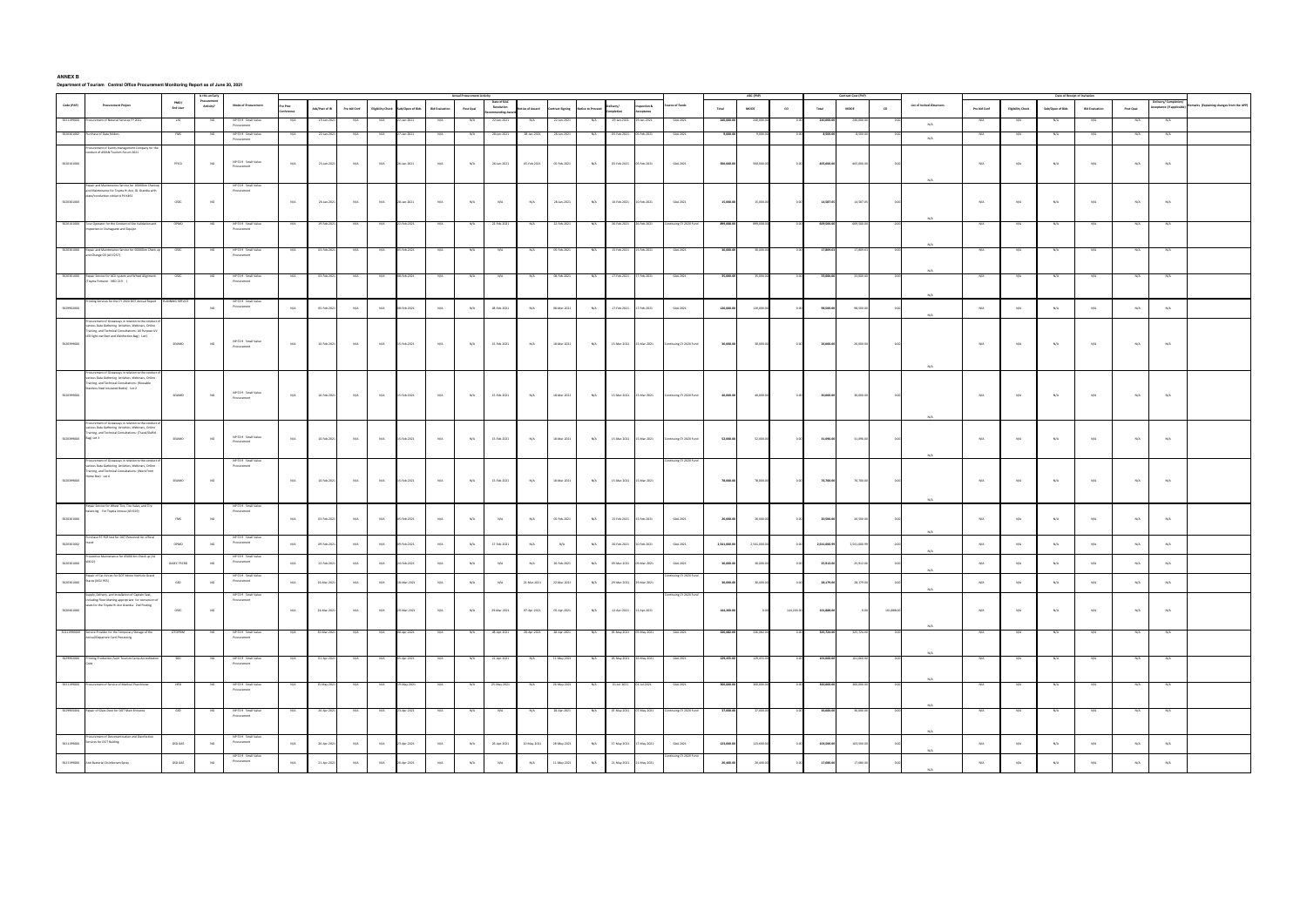**ANNEX B Department of Tourism Central Office Procurement Monitoring Report as of June 30, 2021**

|                       |                                                                                                              |                  |                         | <b>Actual Procurement Activit</b>  |         |                |              |                          |                |                       |                         |                          |             |                |            |             |                  |                        |             |             |            |              |              |            |                           |              |                          |                         | Date of Receipt of Invitation |           |                                            |                                           |
|-----------------------|--------------------------------------------------------------------------------------------------------------|------------------|-------------------------|------------------------------------|---------|----------------|--------------|--------------------------|----------------|-----------------------|-------------------------|--------------------------|-------------|----------------|------------|-------------|------------------|------------------------|-------------|-------------|------------|--------------|--------------|------------|---------------------------|--------------|--------------------------|-------------------------|-------------------------------|-----------|--------------------------------------------|-------------------------------------------|
| Code (PAP)            | <b>Procurement Project</b>                                                                                   | PMO/<br>End User | Procuremen<br>Activity? | <b>Mode of Procurement</b>         |         | Ads/Post of IB | Pre bid Conf | <b>Eligibility Check</b> | b/Open of Bids | <b>Bid Evaluation</b> | Post Qual               | Date of BA<br>Resolution | ce of Award | ntract Signing | ce to Prod | :livery/    | spection &       | urce of Funds          | Total       | MODE        | co         | Total        | <b>MODE</b>  | co         | List of Invited Observers | Pre bid Conf | <b>Eligibility Check</b> | Sub/Open of Bids        | <b>Bid Evaluation</b>         | Post Qual | elivery/ Completio<br>eptance (If applical | temarks (Explaining changes from the APP) |
|                       |                                                                                                              |                  |                         |                                    | ference |                |              |                          |                |                       |                         | mending Awa              |             |                |            | mpletion    | eptance          |                        |             |             |            |              |              |            |                           |              |                          |                         |                               |           |                                            |                                           |
|                       | urement of Notarial Services FY 202                                                                          |                  |                         | NP 53.9 Small Value<br>Procurement |         | 19-Jan-20      |              |                          | an-202         |                       | N/A                     | 22-Jan-2021              |             | 22-Jan-2021    |            | 29-Jan-20   |                  | GAA 202                |             |             |            |              |              |            | N/A                       |              |                          |                         |                               |           |                                            |                                           |
| 502030100             | chase of Data Folders                                                                                        |                  |                         | NP 53.9 Small Value<br>Procurement |         | 22-Jan-202     | N/A          | N/A                      | an-202         |                       | N/A                     | 28-Jan-2021              | 28-Jan-2021 | 28-Jan-2021    | N/A        | 05-Feb-2021 | 05-Feb-2021      | GAA 2021               | 9,000.00    |             |            | 8,500.00     | 8,50         |            | N/A                       | N/A          | N/A                      |                         | N/A                           |           |                                            |                                           |
|                       | ocurement of Events Management Company for t<br>onduct of ASEAN Tourism Forum 2021                           |                  |                         |                                    |         |                |              |                          |                |                       |                         |                          |             |                |            |             |                  |                        |             |             |            |              |              |            |                           |              |                          |                         |                               |           |                                            |                                           |
|                       |                                                                                                              |                  |                         | NP 53.9 Small Value                |         |                |              |                          |                |                       |                         |                          |             |                |            | 05-Feb-2021 |                  |                        |             |             |            |              |              |            |                           |              |                          |                         |                               |           |                                            |                                           |
| 5020101000            |                                                                                                              | PFICD            | <b>NO</b>               | Procurement                        | N/A     | 23-Jan-2021    | N/A          | N/A                      | 26-Jan-2021    | N/A                   | N/A                     | 26-Jan-2021              | 05-Feb-2021 | 05-Feb-2021    | N/A        |             | 05-Feb-2021      | GAA 2021               | 500,000.0   | 500,000.0   | 0.00       | 405,000.00   | 405,000.00   | 0.00       |                           | N/A          | N/A                      | N/A                     | N/A                           | N/A       | N/A                                        |                                           |
|                       |                                                                                                              |                  |                         |                                    |         |                |              |                          |                |                       |                         |                          |             |                |            |             |                  |                        |             |             |            |              |              |            | N/A                       |              |                          |                         |                               |           |                                            |                                           |
|                       | Repair and Maintenence Service for 10000km Check<br>and Maintenance for Toyota Hi Ace, GL Grandia with       |                  |                         | NP 53.9 Small Value<br>Procurement |         |                |              |                          |                |                       |                         |                          |             |                |            |             |                  |                        |             |             |            |              |              |            |                           |              |                          |                         |                               |           |                                            |                                           |
| 5020301000            | te/conduction sticker # P4 K461                                                                              | OSEC             | <b>NO</b>               |                                    | N/A     | 26-Jan-2021    | N/A          | N/A                      | 28-Jan-2021    | N/A                   | N/A                     | N/A                      | N/A         | 28-Jan-2021    | N/A        | 10-Feb-2021 | 10-Feb-2021      | GAA 2021               | 15,000.0    | 15,000.00   |            | 14,587.05    | 14,587.05    | 0.00       |                           | N/A          | N/A                      | N/A                     | N/A                           | N/A       | N/A                                        |                                           |
|                       |                                                                                                              |                  |                         |                                    |         |                |              |                          |                |                       |                         |                          |             |                |            |             |                  |                        |             |             |            |              |              |            |                           |              |                          |                         |                               |           |                                            |                                           |
| 5020101000            | Tour Operator for the Conduct of Site Validation ar                                                          | OPMD             |                         | NP 53.9 Small Value                |         | 19-Feb-20      |              | N/A                      | eb-2021        |                       |                         | 22-Feb-202               |             | 22-Feb-2021    |            | 26-Feb-2021 | -Feb-2021        | inuing CY 2020 Fund    | 899,008.0   | 899,00      |            | 609,500.00   | 609,500.00   |            | N/A                       | N/A          | N/A                      |                         |                               |           |                                            |                                           |
|                       | spection in Dumaguete and Siquijor                                                                           |                  |                         | Procurement                        |         |                |              |                          |                |                       |                         |                          |             |                |            |             |                  |                        |             |             |            |              |              |            |                           |              |                          |                         |                               |           |                                            |                                           |
|                       |                                                                                                              |                  |                         |                                    |         |                |              |                          |                |                       |                         |                          |             |                |            |             |                  |                        |             |             |            |              |              |            | N/A                       |              |                          |                         |                               |           |                                            |                                           |
| 5020301000            | epair and Maintenance Service for 50<br>nd Change Oil (A3 E257)                                              |                  |                         | NP 53.9 Small Value<br>Procurement |         |                |              |                          |                |                       |                         |                          |             |                |            |             |                  | GAA 202                | 30.000.0    |             |            | 17,809.63    |              |            |                           |              |                          |                         |                               |           |                                            |                                           |
|                       |                                                                                                              |                  |                         |                                    |         |                |              |                          |                |                       |                         |                          |             |                |            |             |                  |                        |             |             |            |              |              |            |                           |              |                          |                         |                               |           |                                            |                                           |
| 5020301000            | Repair Service for ACU system and Wheel Alignme                                                              |                  |                         | NP 53.9 Small Value                |         | 03-Feb-20      |              |                          | eb-202         |                       |                         |                          |             | 08-Feb-202     |            | 17-Feb-2021 | -Feb-2021        | GAA 2021               | 35,000.0    |             |            | 33,000.00    |              |            | N/A                       | N/A          |                          |                         |                               |           |                                            |                                           |
|                       | oyota Fortuner NSO 219 )                                                                                     |                  |                         | Procurement                        |         |                |              |                          |                |                       |                         |                          |             |                |            |             |                  |                        |             |             |            |              |              |            |                           |              |                          |                         |                               |           |                                            |                                           |
|                       | Inting Services for the CY 2020 DOT Annual Report                                                            |                  |                         | NP 53.9 Small Value                |         |                |              |                          |                |                       |                         |                          |             |                |            |             |                  |                        |             |             |            |              |              |            | N/A                       |              |                          |                         |                               |           |                                            |                                           |
| 5029902000            |                                                                                                              |                  | NO                      | Procurement                        | N/A     | 05-Feb-202     | N/A          | N/A                      | 8-Feb-2021     | N/A                   | N/A                     | 08-Feb-2021              | N/A         | 08-Mar-2021    | N/A        | 17-Feb-2021 | $7 - Feb - 2021$ | GAA 2021               | 120,000.0   | 120,000.0   |            | 98,500.00    | 98,500.00    |            |                           | N/A          | N/A                      | N/A                     | $_{\mathrm{N/A}}$             | N/A       | N/A                                        |                                           |
|                       | urement of Giveaways in rela                                                                                 |                  |                         |                                    |         |                |              |                          |                |                       |                         |                          |             |                |            |             |                  |                        |             |             |            |              |              |            | N/A                       |              |                          |                         |                               |           |                                            |                                           |
|                       | various Data Gathering Activities, Webinars, Online<br>Training, and Technical Consultations: All Purpose UV |                  |                         |                                    |         |                |              |                          |                |                       |                         |                          |             |                |            |             |                  |                        |             |             |            |              |              |            |                           |              |                          |                         |                               |           |                                            |                                           |
|                       | LED light sterilizer and disinfection Bag) Lot1                                                              |                  |                         | NP 53.9 Small Value                |         |                |              |                          |                |                       |                         |                          |             |                |            |             |                  |                        |             |             |            |              |              |            |                           |              |                          |                         |                               |           |                                            |                                           |
| 5020399000            |                                                                                                              | SEAIMD           | NO                      | Procurement                        | N/A     | 10-Feb-2021    | N/A          | N/A                      | 5-Feb-2021     | N/A                   | N/A                     | 15-Feb-2021              | N/A         | 18-Mar-2021    | N/A        | 15-Mar-2021 | 15-Mar-2021      | ntinuing CY 2020 Fund  | 30,000.00   | 30,000.0    |            | 26,000.00    | 26,000.00    |            |                           | N/A          | N/A                      | N/A                     | N/A                           | N/A       | N/A                                        |                                           |
|                       |                                                                                                              |                  |                         |                                    |         |                |              |                          |                |                       |                         |                          |             |                |            |             |                  |                        |             |             |            |              |              |            |                           |              |                          |                         |                               |           |                                            |                                           |
|                       | curement of Giveaways in relation to the                                                                     |                  |                         |                                    |         |                |              |                          |                |                       |                         |                          |             |                |            |             |                  |                        |             |             |            |              |              |            | N/A                       |              |                          |                         |                               |           |                                            |                                           |
|                       | arious Data Gathering Activities, Webinars, Online<br>Training, and Technical Consultations: (Reusable       |                  |                         |                                    |         |                |              |                          |                |                       |                         |                          |             |                |            |             |                  |                        |             |             |            |              |              |            |                           |              |                          |                         |                               |           |                                            |                                           |
| 5020399000            | Stainless Steel Insulated Bottle) Lot 2                                                                      | SEAIMD           | <b>NO</b>               | NP 53.9 Small Value                | N/A     | 10-Feb-2021    | N/A          | N/A                      | 15-Feb-2021    | N/A                   | $\textsf{N}/\textsf{A}$ | 15-Feb-2021              | N/A         | 18-Mar-2021    | N/A        | 15-Mar-2021 | 15-Mar-2021      | ntinuing CY 2020 Fund  | 40,000.00   | 40,000.0    |            | 30,000.00    | 30,000.00    |            |                           | N/A          | N/A                      | N/A                     | N/A                           | N/A       | N/A                                        |                                           |
|                       |                                                                                                              |                  |                         | Procurement                        |         |                |              |                          |                |                       |                         |                          |             |                |            |             |                  |                        |             |             |            |              |              |            |                           |              |                          |                         |                               |           |                                            |                                           |
|                       |                                                                                                              |                  |                         |                                    |         |                |              |                          |                |                       |                         |                          |             |                |            |             |                  |                        |             |             |            |              |              |            | N/A                       |              |                          |                         |                               |           |                                            |                                           |
|                       | arious Data Gathering Activities, Webinars, Online                                                           |                  |                         |                                    |         |                |              |                          |                |                       |                         |                          |             |                |            |             |                  |                        |             |             |            |              |              |            |                           |              |                          |                         |                               |           |                                            |                                           |
| 5020399000 Bag) Lot 3 | raining, and Technical Consultations: (Travel/Duffel                                                         | SEAIMD           |                         | NP 53.9 Small Value                |         | 10-Feb-202     |              |                          | 15-Feb-2021    |                       |                         | 15-Feb-2021              |             |                |            | 15-Mar-2021 |                  |                        | 52,000.0    |             |            | 31,096.00    | 31,096.00    |            |                           |              | N/A                      |                         |                               |           |                                            |                                           |
|                       |                                                                                                              |                  | <b>NO</b>               | Procurement                        | N/A     |                | N/A          | N/A                      |                | N/A                   | N/A                     |                          | N/A         | 18-Mar-2021    | N/A        |             | 15-Mar-2021      | ontinuing CY 2020 Fund |             | 52,000.00   |            |              |              | 0.00       |                           | N/A          |                          | N/A                     | N/A                           | N/A       | N/A                                        |                                           |
|                       |                                                                                                              |                  |                         |                                    |         |                |              |                          |                |                       |                         |                          |             |                |            |             |                  |                        |             |             |            |              |              |            | N/A                       |              |                          |                         |                               |           |                                            |                                           |
|                       | curement of Giveaways in relation to the cor<br>arious Data Gathering Activities, Webinars, Online           |                  |                         | NP 53.9 Small Value<br>Procurement |         |                |              |                          |                |                       |                         |                          |             |                |            |             |                  | tuing CY 2020          |             |             |            |              |              |            |                           |              |                          |                         |                               |           |                                            |                                           |
| 5020399000            | Training, and Technical Consultations: (Work From<br>Home Box) Lot 4                                         | SEAIMD           | NO                      |                                    | N/A     | 10-Feb-2021    | N/A          | N/A                      | 15-Feb-2021    | N/A                   | N/A                     | 15-Feb-2021              | N/A         | 18-Mar-2021    | N/A        | 15-Mar-2021 | 15-Mar-2021      |                        | 78,000.0    | 78,000.0    |            | 76,700.00    | 76,700.00    |            |                           | N/A          | N/A                      | N/A                     | N/A                           | N/A       | N/A                                        |                                           |
|                       |                                                                                                              |                  |                         |                                    |         |                |              |                          |                |                       |                         |                          |             |                |            |             |                  |                        |             |             |            |              |              |            |                           |              |                          |                         |                               |           |                                            |                                           |
|                       |                                                                                                              |                  |                         |                                    |         |                |              |                          |                |                       |                         |                          |             |                |            |             |                  |                        |             |             |            |              |              |            | N/A                       |              |                          |                         |                               |           |                                            |                                           |
|                       | epair Service for Wheel Tire, Tire Valve, and Tire<br>balancing For Toyota innova (A3 1619)                  |                  |                         | NP 53.9 Small Value<br>Procurement |         |                |              |                          |                |                       |                         |                          |             |                |            |             |                  |                        |             |             |            |              |              |            |                           |              |                          |                         |                               |           |                                            |                                           |
| 5020301000            |                                                                                                              | FMS              | <b>NO</b>               |                                    | N/A     | 03-Feb-2021    | N/A          | N/A                      | 35-Feb-2021    | N/A                   | $\rm N/A$               | N/A                      | N/A         | 05-Feb-2021    | N/A        | 15-Feb-2021 | 15-Feb-2021      | GAA 2021               | 26,000.00   | 26,000.00   |            | 20,500.00    | 20,500.00    | 0.00       |                           | N/A          | $\rm N/A$                | $\mathrm{N}/\mathrm{A}$ | $_{\mathrm{N/A}}$             | N/A       | N/A                                        |                                           |
|                       |                                                                                                              |                  |                         |                                    |         |                |              |                          |                |                       |                         |                          |             |                |            |             |                  |                        |             |             |            |              |              |            | N/A                       |              |                          |                         |                               |           |                                            |                                           |
| 5020301002            | rchase RT PCR test for DOT Personnel for official                                                            | OPMD             | NO                      | NP 53.9 Small Value<br>Procurement | N/A     | 09-Feb-202     | N/A          | N/A                      | 09-Feb-2021    | N/A                   | N/A                     | 17-Feb-2021              | N/A         | N/A            | N/A        | 20-Feb-2021 | -Feb-2021        | GAA 2021               | 2,541,000.0 | 2,541,000.0 |            | 2,541,000.99 | 2,541,000.99 |            |                           | N/A          | N/A                      | N/A                     | N/A                           | N/A       | N/A                                        |                                           |
|                       |                                                                                                              |                  |                         |                                    |         |                |              |                          |                |                       |                         |                          |             |                |            |             |                  |                        |             |             |            |              |              |            | N/A                       |              |                          |                         |                               |           |                                            |                                           |
| 5020301000            | entive Maintenance for 45000 km Check up (A2<br>(12)                                                         | OASEC TRCRG      | NO <sub>1</sub>         | NP 53.9 Small Value<br>Procurement | N/A     | 22-Feb-2021    | N/A          | N/A                      | 24-Feb-2021    | N/A                   | $\textsf{N}/\textsf{A}$ | N/A                      | N/A         | 26-Feb-2021    | N/A        | 09-Mar-2021 | 09-Mar-2021      | GAA 2021               | 30,000.00   | 30,000.00   |            | 25,912.06    | 25,912.06    | 0.00       |                           | N/A          | N/A                      | N/A                     | N/A                           | N/A       | N/A                                        |                                           |
|                       | epair of Car Aircon for DOT Motor Vechicle Grand                                                             |                  |                         | NP 53.9 Small Value                |         |                |              |                          |                |                       |                         |                          |             |                |            |             |                  |                        |             |             |            |              |              |            | N/A                       |              |                          |                         |                               |           |                                            |                                           |
| 502030100             | x (KGU 955)                                                                                                  | GSD              |                         |                                    | N/A     | 16-Mar-202     |              | N/A                      | Mar-2021       |                       |                         | N/A                      | 22-Mar-2021 | 22-Mar-2021    | $N/\ell$   | 29-Mar-202  | -Mar-202         |                        | 30,000.0    | 30,000      |            | 28,179.00    | 28,179       |            | N/A                       | N/A          |                          |                         |                               |           |                                            |                                           |
|                       | ply, Delivery, and Installation of Captain Seat,<br>including Floor Matting appropriate for conversion of    |                  |                         | NP 53.9 Small Value                |         |                |              |                          |                |                       |                         |                          |             |                |            |             |                  | uing CY 2020           |             |             |            |              |              |            |                           |              |                          |                         |                               |           |                                            |                                           |
|                       | seats for the Toyota Hi Ace Grandia 2nd Posting                                                              |                  |                         | Procurement                        |         |                |              |                          |                |                       |                         |                          |             |                |            |             |                  |                        |             |             |            |              |              |            |                           |              |                          |                         |                               |           |                                            |                                           |
| 5020401000            |                                                                                                              | OSEC             | NO                      |                                    | N/A     | 24-Mar-2021    | N/A          | N/A                      | 29-Mar-2021    | N/A                   | N/A                     | 29-Mar-2021              | 07-Apr-2021 | 05-Apr-2021    | N/A        | 12-Apr-2021 | 12-Apr-2021      |                        | 144,200.00  |             | 144,200.00 | 101,888.00   | 0.00         | 101,888.00 |                           | N/A          | N/A                      | N/A                     | N/A                           | N/A       | N/A                                        |                                           |
|                       |                                                                                                              |                  |                         |                                    |         |                |              |                          |                |                       |                         |                          |             |                |            |             |                  |                        |             |             |            |              |              |            | N/A                       |              |                          |                         |                               |           |                                            |                                           |
| 50211990000           | rvice Provider for the Temporary Storage of the<br>rrival/Departure Card Processing                          |                  |                         | NP 53.9 Small Value<br>Procurement |         | 30-Mar-20      |              |                          | 8-Apr-202      |                       |                         | 08-Apr-202               | 28-Apr-202  | 28-Apr-202     |            | 05-May-202  |                  | GAA 202                | 326,082     |             |            |              |              |            |                           |              |                          |                         |                               |           |                                            |                                           |
|                       |                                                                                                              |                  |                         |                                    |         |                |              |                          |                |                       |                         |                          |             |                |            |             |                  |                        |             |             |            |              |              |            | N/A                       |              |                          |                         |                               |           |                                            |                                           |
|                       | 5029902000 Printing Production Farm Tourism Camp Accr                                                        |                  |                         | NP 53.9 Small Value                |         | 01-Apr-20      |              |                          | Apr-202        |                       |                         | 21-Apr-20                |             |                |            | 26-May-202  |                  | GAA 202                | 129,455.0   |             |            | 101.660.00   |              |            |                           |              |                          |                         |                               |           |                                            |                                           |
|                       |                                                                                                              |                  |                         | Procurement                        |         |                |              |                          |                |                       |                         |                          |             |                |            |             |                  |                        |             |             |            |              |              |            |                           |              |                          |                         |                               |           |                                            |                                           |
|                       |                                                                                                              |                  |                         |                                    |         |                |              |                          |                |                       |                         |                          |             |                |            |             |                  |                        |             |             |            |              |              |            | N/A                       |              |                          |                         |                               |           |                                            |                                           |
| 5021199000            | Procurement of Service of Medical Practitioner                                                               |                  |                         | NP 53.9 Small Value<br>Procurement | N/A     | 15-May-202     |              | N/A                      | May-2021       |                       |                         | 25-May-2021              | N/A         | 26-May-2021    |            | 01-Jul-2021 | $-$ Jul $-2021$  | GAA 2021               | 360,000.00  | 360,000     |            | 360,000.00   | 360,000      |            |                           | N/A          | N/A                      | N/A                     | N/A                           |           | N/A                                        |                                           |
|                       |                                                                                                              |                  |                         |                                    |         |                |              |                          |                |                       |                         |                          |             |                |            |             |                  |                        |             |             |            |              |              |            | N/A                       |              |                          |                         |                               |           |                                            |                                           |
|                       | 5029905004 Repair of Glass Door for DOT Main Entrance                                                        | GSD              |                         | NP 53.9 Small Value                | N/A     | 20-Apr-2021    |              | N/A                      | Apr-2021       |                       |                         | N/A                      |             | 28-Apr-2021    |            | 07-May-202  | May-2021         | inuing CY 2020 Fu      | 37,000.0    | 37,000      |            | 36,000.00    |              |            |                           | N/A          | N/A                      |                         | N/A                           |           | N/A                                        |                                           |
|                       |                                                                                                              |                  |                         | Procurement                        |         |                |              |                          |                |                       |                         |                          |             |                |            |             |                  |                        |             |             |            |              |              |            |                           |              |                          |                         |                               |           |                                            |                                           |
|                       |                                                                                                              |                  |                         |                                    |         |                |              |                          |                |                       |                         |                          |             |                |            |             |                  |                        |             |             |            |              |              |            | N/A                       |              |                          |                         |                               |           |                                            |                                           |
| 5021199000            | curement of Decontamination and Disinfectic<br>Services for DOT Buiding                                      | GSD GAE          | $_{\rm NO}$             | NP 53.9 Small Value<br>Procurement | N/A     | 20-Apr-2021    | N/A          | N/A                      | 23-Apr-2021    | N/A                   | N/A                     | 26-Apr-2021              | 10-May-2021 | 28-May-2021    | N/A        | 17-May-2021 | 17-May-2021      | GAA 2021               | 123,600.00  | 123,600.00  |            | 103,500.00   | 103,500.00   | 0.00       |                           | N/A          | N/A                      | N/A                     | N/A                           | N/A       | $\rm N/A$                                  |                                           |
|                       |                                                                                                              |                  |                         | NP 53.9 Small Value                |         |                |              |                          |                |                       |                         |                          |             |                |            |             |                  | Inuing CY 2020 Fund    |             |             |            |              |              |            | N/A                       |              |                          |                         |                               |           |                                            |                                           |
|                       | 5021199000 Anti Bacterial Disinfectant Spray                                                                 | GSD GAE          | NO                      | Procurement                        | N/A     | 21-Apr-2021    | N/A          | N/A                      | 06-Apr-2021    | N/A                   | N/A                     | N/A                      | N/A         | 11-May-2021    | N/A        | 21-May-2021 | 21-May-2021      |                        | 20,400.00   | 20,400.0    |            | 17,680.00    | 17,680.00    |            |                           | N/A          | N/A                      | N/A                     | N/A                           | N/A       | N/A                                        |                                           |
|                       |                                                                                                              |                  |                         |                                    |         |                |              |                          |                |                       |                         |                          |             |                |            |             |                  |                        |             |             |            |              |              |            | N/A                       |              |                          |                         |                               |           |                                            |                                           |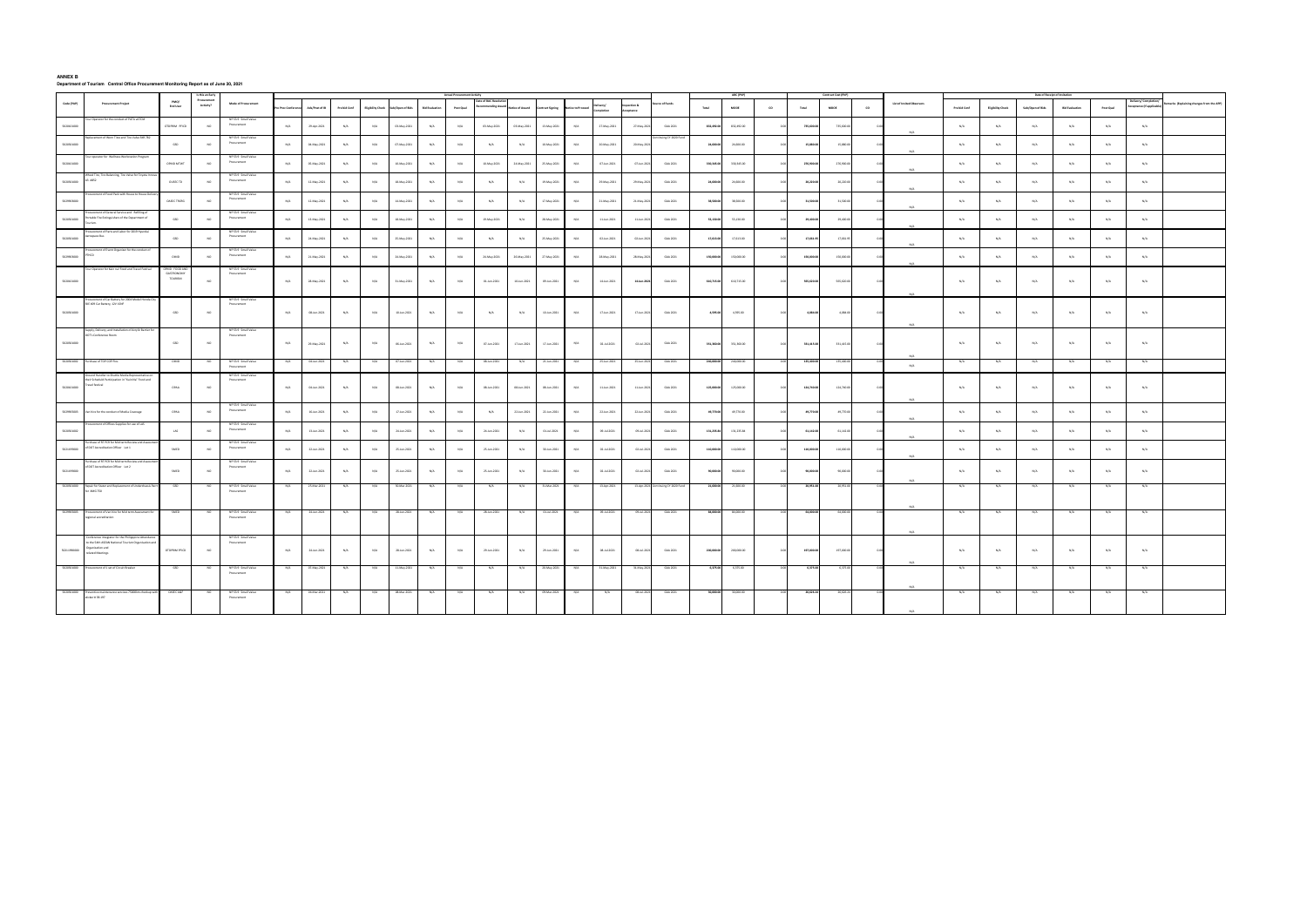## **ANNEX B Department of Tourism Central Office Procurement Monitoring Report as of June 30, 2021**

|             |                                                                                                                                                 |                                              |                          |                                    |             |                |              |     |                                    |                       | <b>Actual Procurement Activity</b> |                                               |               |                 |                 |                    |                              |                   |            |                       |      |            |                       |      |                           |              |                         |                  | Date of Receipt of Invitation |                         |                                        |                                       |
|-------------|-------------------------------------------------------------------------------------------------------------------------------------------------|----------------------------------------------|--------------------------|------------------------------------|-------------|----------------|--------------|-----|------------------------------------|-----------------------|------------------------------------|-----------------------------------------------|---------------|-----------------|-----------------|--------------------|------------------------------|-------------------|------------|-----------------------|------|------------|-----------------------|------|---------------------------|--------------|-------------------------|------------------|-------------------------------|-------------------------|----------------------------------------|---------------------------------------|
| Code (PAP)  | <b>Procurement Project</b>                                                                                                                      | PMO/<br><b>End User</b>                      | Procurement<br>Activity? | <b>Mode of Procurement</b>         | Proc Confer | Ads/Post of IB | Pre bid Conf |     | Eligibility Check Sub/Open of Bids | <b>Bid Evaluation</b> | Post Qual                          | Date of BAC Rese<br><b>Recommending Award</b> | tice of Award | ontract Signing | tice to Proceed | ivery/<br>mpletion | spection &<br><b>p</b> tance | rce of Funds      | Total      | $\textsf{MOOE}$       | co   | Total      | MODE                  | co   | List of Invited Observers | Pre bid Conf | <b>Eliphlity Check</b>  | Sub/Open of Bids | <b>Bid Evaluation</b>         | Post Qual               | ivery/Comple<br>cceptance (If applicat | marks (Explaining changes from the AP |
| 5020101000  | our Operator for the conduct of PATA vATCM                                                                                                      | OTDPRIM PFICD                                | NO.                      | NP 53.9 Small Value<br>Procurement | N/A         | 29-Apr-2021    | N/A          | N/A | 03-May-2021                        | N/A                   | N/A                                | 03-May-2021                                   | 03-May-2021   | 13-May-2021     | N/A             | 27-May-2021        | 27-May-2021                  | GAA 2021          | 832,492.00 | 832,492.00            |      | 735,600.00 | 735,600.00            |      |                           | N/A          | N/A                     | N/A              | N/A                           | N/A                     | $_{\mathrm{N/A}}$                      |                                       |
| 5020301000  | ement of Worn Tires and Tire Valve SKR 782                                                                                                      | GSD                                          | NO.                      | NP53.9 Small Valu<br>Procurement   | N/A         | 04-May-2021    | N/A          | N/A | 07-May-2021                        | N/A                   | N/A                                | N/A                                           | N/A           | 10-May-2021     | N/A             | 20-May-2021        | 20-May-202                   |                   | 24,600.00  | 24,600.00             |      | 15,880.00  | 15,880.00             |      | $N/\Delta$                | N/A          | N/A                     | N/A              | N/A                           | N/A                     | N/A                                    |                                       |
| 5020101000  | Tour operator for Wellness Workstation Program                                                                                                  | OPMD MTWT                                    | NO                       | NP 53.9 Small Value<br>Procurement | N/A         | 05-May-2021    | ${\rm N/A}$  | N/A | 10-May-2021                        | N/A                   | N/A                                | 10-May-2021                                   | 24-May-2021   | 25-May-2021     | N/A             | 07-Jun-2021        | 07-Jun-2021                  | GAA 2021          | 330,345.00 | 330,345.00            |      | 276,900.00 | 276,900.00            |      |                           | N/A          | N/A                     | N/A              | N/A                           | N/A                     | N/A                                    |                                       |
| 5020301000  | Wheel Tire, Tire Balancing, Tire Valve for Toyota Innor<br>A3 A852                                                                              | OUSEC TD                                     |                          | NP 53.9 Small Value<br>Procurement | N/A         | 12-May-2021    | N/A          | N/A | 18-May-2021                        | N/A                   | N/A                                | N/A                                           | N/A           | 19-May-2021     | N/A             | 29-May-2021        | 29-May-2021                  | GAA 2021          | 24,600.00  | 24,600.00             |      | 20,220.00  | 20,220.00             |      | $N/\Delta$                | N/A          | N/A                     | $\rm N/A$        | N/A                           | N/A                     | $_{\mathrm{N/A}}$                      |                                       |
| 5029903000  | rement of Food Pack with House to House Deli                                                                                                    | OASEC TRCRG                                  | NO.                      | NP 53.9 Small Value<br>Procurement | N/A         | 12-May-2021    | N/A          | N/A | 14-May-2021                        | N/A                   | $\mathrm{N}/\mathrm{A}$            | N/A                                           | N/A           | 17-May-2021     | N/A             | 21-May-2021        | 21-May-202                   | GAA 2021          | 38,500.00  | 38,500.00             |      | 31,500.00  | 31,500.00             |      | $N/\Delta$                | $N/\Delta$   | N/A                     | N/A              | $N/\Delta$                    | N/A                     | N/A                                    |                                       |
| 5020301000  | ocurement of General Service and Refilling of<br>Portable Fire Extinguishers of the Department of                                               | GSD                                          | NO                       | NP 53.9 Small Value<br>Procurement | N/A         | 13-May-2021    | N/A          | N/A | 18-May-2021                        | N/A                   | N/A                                | 19-May-2021                                   | N/A           | 28-May-2021     | N/A             | 11-Jun-2021        | 11-Jun-2021                  | GAA 2021          | 53,130.00  | 53,130.00             |      | 29,400.00  | 29,400.00             | 0.00 | $N/\Delta$                | N/A          | N/A                     | N/A              | N/A                           | N/A                     | N/A                                    |                                       |
| 5020301000  | Procurement of Parts and Labor for 2019 Hyundai<br>Aerospace Bus                                                                                | GSD                                          | NO                       | NP 53.9 Small Value<br>Procurement | N/A         | 24-May-2021    | N/A          | N/A | 25-May-2021                        | N/A                   | N/A                                | N/A                                           | N/A           | 25-May-2021     | N/A             | 02-Jun-2021        | 02-Jun-2021                  | GAA 2021          | 17,613.00  | 17,613.00             |      | 17,661.95  | 17,661.95             |      | M/A                       | N/A          | N/A                     | $\rm N/A$        | N/A                           | N/A                     | N/A                                    |                                       |
| 5029903000  | urement of Event Organizer for the conduct of<br>PTHCD                                                                                          | OIMD                                         | NO.                      | NP 53.9 Small Valu<br>Procurement  | N/A         | 21-May-2021    | N/A          | N/A | 24-May-2021                        | N/A                   | N/A                                | 24-May-2021                                   | 26 May-2021   | 27-May-2021     | N/A             | 28-May-2021        | 28-May-2021                  | GAA 2021          | 150,000.00 | 150,000.00            |      | 150,000.00 | 150,000.00            |      | $N/\Delta$                | N/A          | N/A                     | N/A              | N/A                           | N/A                     | N/A                                    |                                       |
| 5020101000  | Operator for Kain na! Food and Travel Festiv                                                                                                    | OPMD FOOD AI<br>GASTRONOMY<br><b>TOURISM</b> | NO <sub>1</sub>          | NP 53.9 Small Value<br>Procurement | N/A         | 28-May-2021    | N/A          | N/A | 31-May-2021                        | N/A                   | N/A                                | 01-Jun-2021                                   | 10-Jun-2021   | 09-Jun-2021     | N/A             | 14-Jun-2021        | 14-Jun-2021                  | GAA 2021          | 610,715.00 | 610,715.00            |      | 565,620.00 | 565,620.00            | 0.00 | N/A                       | N/A          | N/A                     | N/A              | N/A                           | N/A                     | N/A                                    |                                       |
| 5020301000  | Procurement of Car Battery for 2004 Model Honda<br>SKE 409 Car Battery, 12V 1SNF                                                                | GSD                                          | NO <sub>1</sub>          | NP53.9 Small Value<br>Procurement  | N/A         | 08-Jun-2021    | N/A          | N/A | 10-Jun-2021                        | N/A                   | N/A                                | N/A                                           | N/A           | 10-Jun-2021     | N/A             | 17-Jun-2021        | 17-Jun-2021                  | GAA 2021          | 4,595.00   | 4,595.00              | 0.00 | 4,084.00   | 4,084.00              | 0.00 |                           | N/A          | N/A                     | N/A              | N/A                           | N/A                     | N/A                                    |                                       |
| 5020301000  | Supply, Delivery, and Installation of Acrylic Barrier for<br>DOT's Conference Room                                                              | GSD                                          | <b>NO</b>                | NP 53.9 Small Value<br>Procurement | N/A         | 29-May-2021    | N/A          | N/A | 06-Jun-2021                        | N/A                   | N/A                                | 07-Jun-2021                                   | 17-Jun-2021   | 17-Jun-2021     | N/A             | 02-Jul-2021        | 02-Jul-2021                  | GAA 2021          | 351,360.00 | 351,360.00            | 0.00 | 331,415.00 | 331,415.00            | 0.00 |                           | N/A          | N/A                     | N/A              | N/A                           | $\mathrm{N}/\mathrm{A}$ | $\rm N/A$                              |                                       |
|             | 5020301002 Purchase of TOP COP Pins                                                                                                             |                                              |                          | NP 53.9 Small Value<br>Procurement |             | 04-Jun-2021    |              |     | 07-Jun-2021                        |                       |                                    | 08-Jun-2021                                   |               | 21-Jun-2021     |                 | 25-Jun-202         | 25-Jun-20                    | GAA 2021          | 240,000.00 |                       |      | 135,400.00 |                       |      | N/A                       |              |                         |                  |                               |                         |                                        |                                       |
| 5020101000  | Ground Handler to Shuttle Media Representative of<br>eir Scheduld Participation in "Kain Na" Food and<br>wel festival                           | OPAA                                         | NO.                      | NP 53.9 Small Value<br>Procurement | N/A         | 04-Jun-2021    | N/A          | N/A | 08-Jun-2021                        | N/A                   | N/A                                | 08-Jun-2021                                   | 08-Jun-2021   | 08-Jun-2021     | N/A             | 11-Jun-2021        | 11-Jun-2021                  | GAA 2021          |            | 125,000.00 125,000.00 | 0.00 |            | 124,740.00 124,740.00 | 0.00 | N/A                       | N/A          | N/A                     | N/A              | N/A                           | N/A                     | N/A                                    |                                       |
|             | 5029905003 Van hire for the conduct of Media Coverage                                                                                           | OPAA                                         |                          | NP 53.9 Small Value<br>Procurement | N/A         | 16-Jun-2021    | N/A          | N/A | 17-Jun-2021                        | N/A                   | N/A                                | N/A                                           | 22-Jun-2021   | 22-Jun-2021     | N/A             | 22-Jun-2021        | 22-Jun-2021                  | GAA 2021          | 49,770.00  | 49,770.00             |      | 49,770.00  | 49,770.00             |      | $N/\Delta$                | N/A          | N/A                     | N/A              | N/A                           | N/A                     | N/A                                    |                                       |
| 5020301002  | ocurement of Offices Supplies for use of LAS                                                                                                    | LAS                                          | NO                       | NP53.9 Small Value<br>Procurement  | N/A         | 13-Jun-2021    | N/A          | N/A | 24-Jun-2021                        | N/A                   | N/A                                | 24-Jun-2021                                   | N/A           | 01-Jul-2021     | N/A             | 09-Jul-2021        | 09-Jul-2021                  | GAA 2021          | 131,235.84 | 131,235.84            |      | 61,142.00  | 61,142.00             |      |                           | N/A          | $\mathrm{N}/\mathrm{A}$ | $\rm N/A$        | $\mathsf{N}/\mathsf{A}$       | N/A                     | $_{\mathrm{N/A}}$                      |                                       |
| 5021199000  | urchase of RT PCR for Mid term Review and Asses<br>of DOT Accreditation Officer Lot 1                                                           | SMED                                         | NO.                      | NP 53.9 Small Value<br>Procurement | N/A         | 22-Jun-2021    | N/A          | N/A | 25-Jun-2021                        | N/A                   | N/A                                | 25-Jun-2021                                   | N/A           | 30-Jun-2021     | N/A             | 02-Jul-2021        | 02-Jul-2021                  | GAA 2021          | 110,000.00 | 110,000.00            |      | 110,000.00 | 110,000.00            |      |                           | N/A          | N/A                     | N/A              | N/A                           | N/A                     | N/A                                    |                                       |
| 5021199000  | Purchase of RT PCR for Mid term Review and Asset<br>of DOT Accreditation Officer Lot 2                                                          | SMED                                         |                          | NP53.9 Small Value<br>Procurement  | N/A         | 22-Jun-2021    | N/A          | N/A | 25-Jun-2021                        | N/A                   | N/A                                | 25-Jun-2021                                   | N/A           | 30-Jun-2021     | N/A             | 02-Jul-2021        | 02-Jul-2021                  | GAA 2021          | 90,000.00  | 90,000.00             |      | 90,000.00  | 90,000.00             |      |                           | N/A          | $\mathrm{N}/\mathrm{A}$ | $\rm N/A$        | N/A                           | $\mathrm{N}/\mathrm{A}$ | $_{\mathrm{N/A}}$                      |                                       |
|             | 5020301000 Repair for Stater and Replacement of Underchassis<br>for XMG 750                                                                     |                                              |                          | NP 53.9 Small Value<br>Procurement |             | 25-Mar-2021    |              |     | 30-Mar-2021                        |                       |                                    |                                               |               | 31-Mar-2021     |                 | 13-Apr-2021        | 13-Apr-2021                  | tuing CY 2020 Fur | 21,600.0   |                       |      | 20,951.00  |                       |      | N/A                       |              |                         |                  |                               |                         |                                        |                                       |
|             | 5029905003 Procurement of Van hire for Mid term Assessment for<br>regional accreditation                                                        | SMED                                         |                          | NP 53.9 Small Value<br>Procurement |             | 24-Jun-2021    |              |     | 28-Jun-202                         |                       |                                    | 28-Jun-202                                    |               | 01-Jul-2021     | N/A             | 09-Jul-2021        | 09-Jul-20                    | GAA 2021          | 84,000.00  | 84,000.00             |      |            |                       |      |                           |              | N/A                     |                  |                               | N/A                     |                                        |                                       |
| 50211990000 | Conference integrator for the Philipppine Attenda<br>to the 54th ASEAN National Tourism Organisation and<br>Organization and<br>elated Meetings | OTDPRIM PFICD                                | NO.                      | NP 53.9 Small Value<br>Procurement | N/A         | 24-Jun-2021    | N/A          | N/A | 28-Jun-2021                        | N/A                   | N/A                                | 29-Jun-2021                                   | N/A           | 29-Jun-2021     | N/A             | 08-Jul-2021        | 08-Jul-2021                  | GAA 2021          | 200,000.00 | 200,000.00            | 0.00 | 197,000.00 | 197,000.00            | 0.00 |                           | N/A          | N/A                     | N/A              | N/A                           | N/A                     | $\rm N/A$                              |                                       |
|             | 5020301000 Procurement of 1 set of Circuit Breaker                                                                                              | GSD                                          |                          | NP53.9 Small Value<br>Procurement  |             | 07-May-2021    |              |     | 11-May-202                         |                       |                                    |                                               |               | 20-May-2021     | N/A             | 31-May-2021        | 31-May-202                   | GAA 2021          | 6,375.00   | 6,375.00              |      |            |                       |      |                           |              | N/A                     |                  |                               |                         |                                        |                                       |
|             | 5020301000 Preventive maintenance services 75000km checkup with<br>sticker #38 197                                                              | OASEC A&F                                    |                          | NP 53.9 Small Value<br>Procurement |             |                |              |     |                                    |                       |                                    |                                               |               |                 |                 |                    |                              |                   |            |                       |      |            |                       |      |                           |              |                         |                  |                               |                         |                                        |                                       |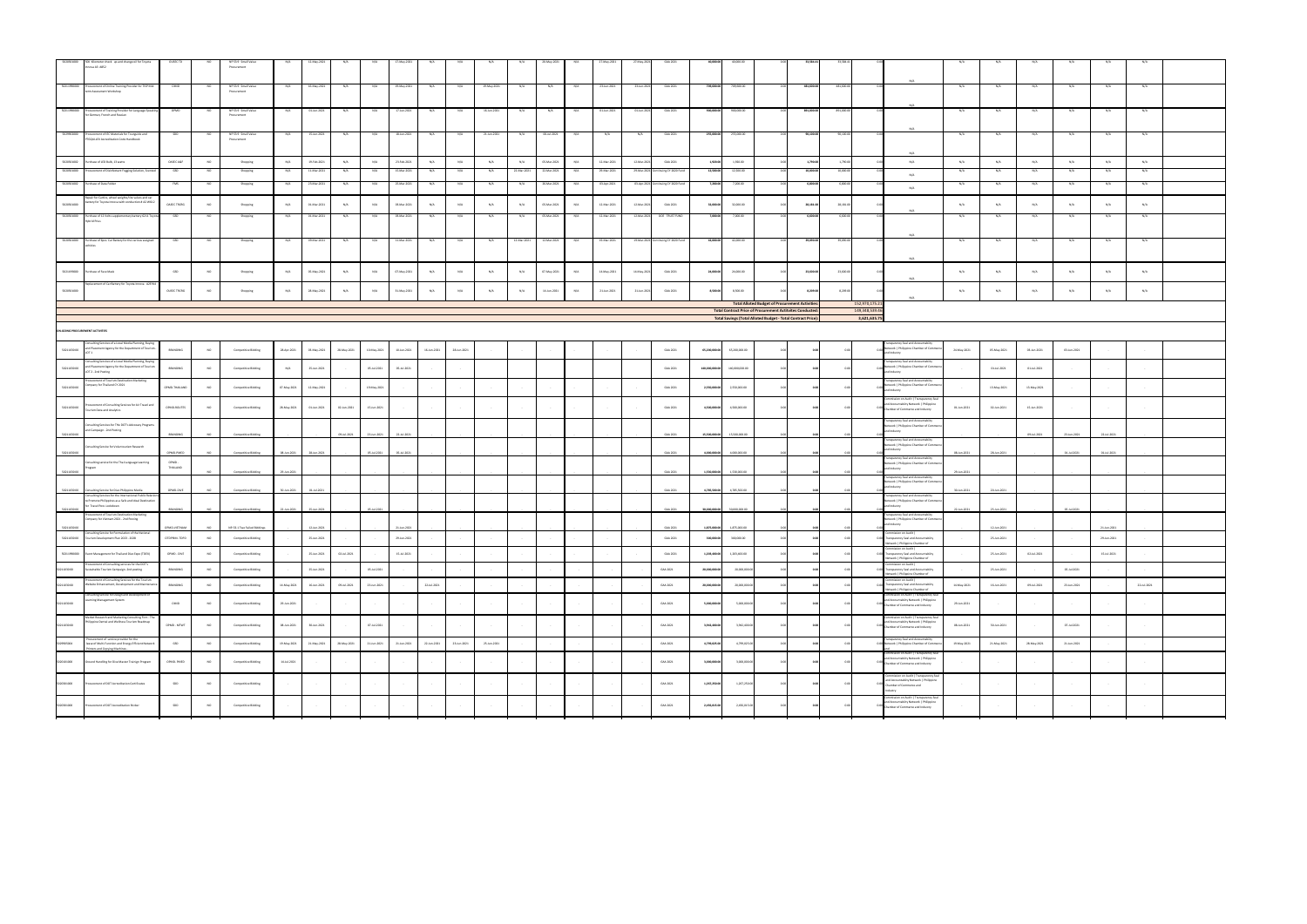|                                 | 5020301000 50K Kilometer check up and change oil for Toyota<br>Innova A3 A852                                                     | OUSEC TD          |                 | NP 53.9 Small Value<br>Procurement |                              |                     |                  |                 |             |             |             |                 |                  |             |        |             |             |                     |                         |                           |                                                                                                                            |            |            |                                  |                                                                                                                          |                 |                 |                  |                        |                  |             |  |
|---------------------------------|-----------------------------------------------------------------------------------------------------------------------------------|-------------------|-----------------|------------------------------------|------------------------------|---------------------|------------------|-----------------|-------------|-------------|-------------|-----------------|------------------|-------------|--------|-------------|-------------|---------------------|-------------------------|---------------------------|----------------------------------------------------------------------------------------------------------------------------|------------|------------|----------------------------------|--------------------------------------------------------------------------------------------------------------------------|-----------------|-----------------|------------------|------------------------|------------------|-------------|--|
|                                 | 50211990000 Procurement of Online Training Provider for TISP Mid<br>term Assessment Workshop                                      | <b>OIMD</b>       | <b>NO</b>       | NP 53.9 Small Value<br>Procurement | N/A                          | 16-May-2021         | N/A              | N/A             | 19-May-2021 | N/A         | N/A         | 19-May-2021     | N/A              | N/A         | N/A    | 23-Jun-202  | 23-Jun-202  | GAA 2021            | 709,600.00              | 709,600.00                |                                                                                                                            | 481,600.00 | 481,600.00 |                                  |                                                                                                                          | N/A             | N/A             | N/A              | N/A                    | N/A              |             |  |
|                                 | 50211990000 Procurement of Training Provider for Language Speakin<br>for German, French and Russian                               | OPMD              |                 | NP 53.9 Small Value<br>Procurement |                              | 01-Jun-2021         |                  | N/A             | 17-Jun-2021 |             |             |                 |                  |             |        |             | 01-Jun-20   | GAA 2021            | 900,000.0               | 900,000.00                |                                                                                                                            | 891,000.00 | 891,000.0  |                                  | N/A                                                                                                                      | N/A             |                 |                  |                        |                  |             |  |
|                                 | 5029902000 Procurement of IEC Materials for Tourguide and<br>PTGQULLEX Accreditation Code Handbook                                |                   |                 | NP 53.9 Small Value<br>Procurement |                              | 15-Jun-2021         | N/A              | N/A             | 18-Jun-2021 |             | N/A         | 21-Jun-2021     | N/A              | 06-Jul-202  | N/A    | N/A         | N/A         | GAA 2021            | 255,000.00              | 255,000.00                |                                                                                                                            | 90,100.00  | 90,100.00  |                                  | N/A                                                                                                                      | N/A             | N/A             | N/A              | N/A                    |                  |             |  |
|                                 | 5020301002<br>Purchase of LED Bulb, 13 watts                                                                                      | OASEC A&F         | NO              | Shopping                           | N/A                          | 19-Feb-2021         | N/A              | N/A             | 23-Feb-2021 | N/A         | N/A         | N/A             | N/A              | 05-Mar-2021 | N/A    | 12-Mar-2021 | 12-Mar-2021 | GAA 2021            | 1,920.00                | 1,920.00                  |                                                                                                                            | 1,790.00   | 1,790.00   |                                  | N/A                                                                                                                      | N/A             | N/A             | N/A              | N/A                    | N/A              | N/A         |  |
| 5020301000                      | Procurement of Disinfectant Fogging Solution, Scented                                                                             |                   | - NO            | Shopping                           | N/A                          | 11-Mar-2021         | N/A              | N/A             | 15-Mar-2021 | N/A         | N/A         | N/A             | 22-Mar-2021      | 22-Mar-2021 | N/A    | 29-Mar-2021 | 29-Mar-2021 | tinuing CY 2020 Fur | 12,500.00               | 12,500.00                 |                                                                                                                            | 10,000.00  | 10,000.00  |                                  | N/A                                                                                                                      | N/A             | N/A             | N/A              | N/A                    | N/A              | N/A         |  |
|                                 | 5020301002 Purchase of Data Folder                                                                                                |                   |                 | Shopping                           |                              | 23-Mar-2021         |                  | N/A             | 25-Mar-2021 |             |             |                 |                  | 26-Mar-2021 | N/A    | 03-Apr-2021 | 03-Apr-2021 | inuing CY 2020 Fu   | 7,200.00                | 7,200.00                  |                                                                                                                            | 6,800.00   | 6,800.0    |                                  | N/A                                                                                                                      |                 |                 |                  |                        |                  |             |  |
| 5020301000                      | Repair for Cartire, wheel weights/tire valves and car<br>battery for Toyota Innova with conduction # A2 W612                      | OASEC TRCRG       | NO              | Shopping                           | N/A                          | 01-Mar-2021         | N/A              | N/A             | 03-Mar-2021 | N/A         | N/A         | N/A             | N/A              | 05-Mar-2021 | N/A    | 12-Mar-2021 | 12-Mar-2021 | GAA 2021            | 32,000.00               | 32,000.00                 |                                                                                                                            | 28,181.00  | 28,181.00  |                                  | M/A                                                                                                                      | N/A             | N/A             | N/A              | N/A                    | N/A              | N/A         |  |
| 5020301000                      | Purchase of 12 Volts supplementary battery 6211 Toyo<br><b>Hybrid Prius</b>                                                       | GSD               |                 | Shopping                           | N/A                          | 01-Mar-2021         | N/A              | N/A             | 03-Mar-2021 | N/A         | N/A         | N/A             | N/A              | 05-Mar-2021 | N/A    | 12-Mar-2021 | 12-Mar-2021 | DOE TRUST FUND      | 7,000.00                | 7,000.00                  |                                                                                                                            | 6,600.00   | 6,600.00   |                                  | N/A                                                                                                                      | N/A             | N/A             | N/A              | N/A                    | N/A              |             |  |
|                                 | 5020301000 Purchase of 6pcs. Car Battery for the various assigned<br>vehicles                                                     |                   |                 | Shopping                           |                              | 09-Mar-2021         |                  | N/A             | 11-Mar-2021 |             |             |                 | 12-Mar-2021      | 12-Mar-202  |        | 19-Mar-202  | 19-Mar-2021 | Intinuing CY 2020 F | 42,000.00               | 42,000.00                 |                                                                                                                            | 39,090.00  | 39,090.0   |                                  |                                                                                                                          | N/A             | N/A             |                  |                        |                  |             |  |
|                                 | 5021199000 Purchase of Face Mask                                                                                                  | GSD               | <b>NO</b>       | Shopping                           | N/A                          | 05-May-2021         | N/A              | N/A             | 07-May-2021 | N/A         | N/A         | N/A             | N/A              | 07-May-2021 | N/A    | 14-May-2021 | 14-May-2021 | GAA 2021            | 24,000.00               | 24,000.00                 |                                                                                                                            | 23,600.00  | 23,600.00  |                                  | N/A<br>$N/\Delta$                                                                                                        | N/A             | N/A             | N/A              | N/A                    | N/A              | N/A         |  |
| 5020301000                      | lacement of Car Battery for Toyota Innova A2E9:                                                                                   | OUSEC TRCRG       | NO              | Shopping                           | N/A                          | 28-May-2021         | N/A              | N/A             | 31-May-2021 | N/A         | N/A         | N/A             | N/A              | 14-Jun-2021 | N/A    | 21-Jun-2021 | 21-Jun-2021 | GAA 2021            | 8,500.00                | 8,500.00                  |                                                                                                                            | 8,209.00   | 8,209.00   |                                  | $N/\Delta$                                                                                                               | N/A             | N/A             | N/A              | N/A                    | N/A              | N/A         |  |
|                                 |                                                                                                                                   |                   |                 |                                    |                              |                     |                  |                 |             |             |             |                 |                  |             |        |             |             |                     |                         |                           | <b>Total Alloted Budget of Procurement Activities:</b><br><b>Total Contract Price of Procurement Actitvites Conducted:</b> |            |            | 152,970,175.21<br>149,348,539.46 |                                                                                                                          |                 |                 |                  |                        |                  |             |  |
|                                 |                                                                                                                                   |                   |                 |                                    |                              |                     |                  |                 |             |             |             |                 |                  |             |        |             |             |                     |                         |                           | <b>Total Savings (Total Alloted Budget - Total Contract Price):</b>                                                        |            |            | 3,621,635.75                     |                                                                                                                          |                 |                 |                  |                        |                  |             |  |
| ON-GOING PROCUREMENT ACTIVITIES | Consulting Services of a Local Media Planning, Buying                                                                             |                   |                 |                                    |                              |                     |                  |                 |             |             |             |                 |                  |             |        |             |             |                     |                         |                           |                                                                                                                            |            |            |                                  | sparency Seal and Accountabilty                                                                                          |                 |                 |                  |                        |                  |             |  |
| 5021103000                      | and Placement Agency for the Department of Tourism -<br>LOT 1<br>Consulting Services of a Local Media Planning, Buying            | BRANDING          | NO <sub>1</sub> | Competitive Bidding                | 28-Apr-2021                  | 03-May-2021         | 28-May-2021      | 10-May-2021     | 10-Jun-2021 | 16-Jun-2021 | 28-Jun-2021 |                 |                  |             |        |             |             | GAA 2021            | 65,200,000.00           | 65,200,000.00             |                                                                                                                            |            |            |                                  | 0.00 Network   Philippine Chamber of Commer<br>and Industry<br>nsparency Seal and Accountabilty                          | 24-May-2021     | 05-May-2021     | 03-Jun-2021      | 03-Jun-2021            |                  |             |  |
| 5021103000                      | and Placement Agency for the Department of Tourism<br>LOT 2 - 2nd Posting                                                         | BRANDING          | NO              | Competitive Bidding                | N/A                          | 25-Jun-2021         |                  | 05-Jul-2021     | 05-Jul-2021 |             |             |                 |                  |             |        |             |             | GAA 2021            | 140,000,000.00          | 140,000,000.00            |                                                                                                                            |            |            |                                  | Network   Philippine Chamber of Commo<br>and Industry                                                                    |                 | 01-Jul-2021     | 01-Jul-2021      |                        |                  |             |  |
| 5021103000                      | ocurement of Tourism Destination Marketing<br>Company for Thailand CY 2021                                                        | OPMD-THAILAND     | NO              | Competitive Bidding                | 07-May-2021                  | 12-May-2021         | $\sim$ 100 $\mu$ | 19-May-2021     |             |             |             |                 |                  |             |        |             |             | GAA 2021            | 2,550,000.00            | 2,550,000.00              |                                                                                                                            |            |            |                                  | ansparency Seal and Accountabilty<br>Network   Philippine Chamber of Comme<br>and Industry                               | $\sim 10^{-11}$ | 13-May-2021     | 13-May-2021      |                        |                  |             |  |
| 50211030 00                     | Procurement of Consulting Services for Air Travel and<br>Tourism Data and Analytics                                               | OPMD-ROUTES       | <b>NO</b>       | Competitive Bidding                | 28-May-2021                  | 01-Jun-2021         | 02-Jun-2021      | 15-Jun-2021     |             |             |             |                 |                  |             |        |             |             | GAA 2021            | 4,500,000.00            | 4,500,000.00              |                                                                                                                            |            |            |                                  | ommission on Audit   Transparency Se<br>and Accountabilty Network   Philippine<br>0.00 Chamber of Commerce and Industry  | 01-Jun-2021     | 02-Jun-2021     | 15-Jun-2021      |                        |                  |             |  |
| 50211030.00                     | Consulting Services for THe DOT's Advocacy Programs<br>and Campaign - 2nd Posting                                                 | BRANDING          | NO <sub>1</sub> | Competitive Bidding                |                              |                     | 09-Jul-2021      | 23-Jun-2021     | 22-Jul-2021 |             |             |                 |                  |             |        |             |             | GAA 2021            | 15,500,000.00           | 15.500.000.00             |                                                                                                                            |            |            |                                  | ransparency Seal and Accountabilty<br>Network   Philippine Chamber of Comme<br>and Industry                              |                 |                 | 09-Jul-2021      | 23-Jun-2021            | 22-Jul-2021      |             |  |
|                                 | Consulting Service for Voluntourism Research                                                                                      |                   |                 | Competitive Bidding                | 08-Jun-2021                  | 28-Jun-202          |                  | 05-Jul-2021     | 05-Jul-202  |             |             |                 |                  |             |        |             |             | GAA 2021            | 4,000,000.00            | 4,000,000.0               |                                                                                                                            |            |            |                                  | ansparency Seal and Accountabilty<br>Network   Philippine Chamber of Comme<br>and Industry                               | 08-Jun-2021     | 28-Jun-2021     |                  | 01-Jul-2021            | 01-Jul-202       |             |  |
| 50211030 00                     | Consulting service for the Thai Language Learning<br>Program                                                                      | OPMD-<br>THAILAND |                 | Competitive Bidding                | 29-Jun-2021                  |                     |                  |                 |             |             |             |                 |                  |             |        |             |             | GAA 2021            | 1,530,000.00            | 1,530,000.00              |                                                                                                                            |            |            |                                  | ransparency Seal and Accountabilty<br>Network   Philippine Chamber of Commo<br>and Industry                              | 29-Jun-2021     |                 |                  |                        |                  |             |  |
|                                 | ulting Service for Dive Philippine Media                                                                                          | OPMD-DIVE         |                 |                                    |                              |                     |                  |                 |             |             |             |                 |                  |             |        |             |             | GAA 2021            | 4.785.500.0             | 4.785.500.00              |                                                                                                                            |            |            |                                  | sparency Seal and Accountabilty<br>Network   Philippine Chamber of Comme<br>and Industry                                 |                 |                 |                  |                        |                  |             |  |
| 50211030.00                     | Consulting Services for the Int<br>to Promote Philippines as a Safe and Ideal Destination<br>for Travel Post-Lockdown             | BRANDING          | <b>MO</b>       | Competitive Bidding                | 22-Jun-2021                  | 25-Jun-2021         |                  | 05-Jul-2021     |             |             |             |                 |                  |             |        |             |             | GAA 2021            | 30,000,000.00           | 30,000,000.00             |                                                                                                                            |            |            |                                  | sparency Seal and Accountabili<br>Network   Philippine Chamber of Commer<br>and Industry                                 | 22-Jun-2021     | 25-Jun-2021     |                  | 05-Jul-2021            |                  |             |  |
| 50211030.00<br>50211030 00      | rocurement of Tourism Destination Marketing<br>Company for Vietnam 2021 - 2nd Posting                                             |                   |                 | NP-53.1 Two Failed Biddings        |                              |                     |                  |                 |             |             |             |                 |                  |             |        |             |             | GAA 2021            |                         |                           |                                                                                                                            |            |            |                                  | Insparency Seal and Accountabilty<br>Network   Philippine Chamber of Comme<br>and Industry                               |                 |                 |                  |                        |                  |             |  |
|                                 | Consulting Service for Formulation of the Nat<br>50211030.00 Tourism Development Plan 2023 - 2028                                 | OTDPRIM-TDPD      | NO              | Competitive Bidding                |                              | 25-Jun-2021         |                  |                 | 29-Jun-2021 |             |             |                 |                  |             |        |             |             | GAA 2021            | 1,875,000<br>300,000.00 | 1.875,000.0<br>300,000.00 |                                                                                                                            |            |            |                                  | mmission on Audit  <br>0.00 Transparency Seal and Accountability<br>Network   Philippine Chamber of                      |                 | 25-Jun-2021     |                  |                        | 29-Jun-2021      |             |  |
| $\overline{\phantom{0}}$        | 50211990000 Event Management for Thailand Dive Expo (TDEX)                                                                        | OPMD - DIVE       | <b>NO</b>       | Competitive Bidding                |                              | 25-Jun-2021         | 02-Jul-2021      |                 | 15-Jul-2021 |             |             |                 |                  |             |        |             |             | GAA 2021            | 1,203,400.00            | 1,203,400.00              |                                                                                                                            | 0.00       | 0.00       |                                  | 0.00 Transparency Seal and Accountabilty<br>Network   Philippine Chamber of                                              |                 | 25-Jun-2021     | 02-Jul-2021      |                        | 15-Jul-2021      |             |  |
| Ξ<br>5021103000<br>i<br>L       | curement of Consulting services for the DOT's<br>Sustainable Tourism Campaign -2nd posting                                        | BRANDING          | $_{\rm NO}$     | Competitive Bidding                |                              | 25-Jun-2021         |                  | 05-Jul-2021     |             |             |             |                 |                  |             |        |             |             | GAA 2021            | 20,000,000.00           | 20,000,000.0              |                                                                                                                            |            |            |                                  | mmission on Audit  <br>Transparency Seal and Accountabilty<br>Network   Philippine Chamber of                            |                 | 25-Jun-2021     |                  | 05-Jul-2021            |                  |             |  |
| 5021103000                      | rocurement of Consulting Services for the Tourism<br>Website Enhancement, Development and Mainten                                 | BRANDING          | NO              | Competitive Bidding                | $14\cdot\text{May}\cdot2021$ | 16-Jun-2021         | 09-Jul-2021      | 23-Jun-2021     |             | 22-Jul-2021 |             |                 |                  |             |        |             |             | GAA 2021            | 20,000,000.00           | 20,000,000.00             |                                                                                                                            |            |            |                                  | Commission on Audit  <br>1.00 Transparency Seal and Accountability<br>etwork   Philippine Chamber of                     | 14-May-2021     | 16-Jun-2021     | 09-Jul-2021      | 23-Jun-2021            |                  | 22-Jul-2021 |  |
| 5021103000                      | Consulting Service for Design and Development of<br>Learning Management System                                                    | <b>OIMD</b>       | NO              | Competitive Bidding                | 29-Jun-2021                  | <b>State Street</b> | <b>Contract</b>  | <b>Contract</b> |             | $\sim$      |             | <b>Contract</b> | $\sim$           |             | $\sim$ |             |             | GAA 2021            | 5,000,000.00            | 5,000,000.00              |                                                                                                                            | 0.00       | 0.00       |                                  | Commission on Audit   Transparency Se<br>and Accountabilty Network   Philippine<br>0.00 Chamber of Commerce and Industry | 29-Jun-2021     | <b>Contract</b> | $\sim$ 100 $\mu$ | <b>Contract</b>        | $\sim$ 100 $\pm$ |             |  |
| ┍<br>5021103000                 | farket Research and Marketing Consulting Firm - Th<br>Philippine Dental and Wellness Tourism Roadmap                              | OPMD - MTWT       | NO              | Competitive Bidding                | 08-Jun-2021                  | 30-Jun-2021         |                  | 07-Jul-2021     |             |             |             |                 |                  |             |        |             |             | GAA 2021            | 3,942,400.00            | 3,942,400.00              |                                                                                                                            |            |            |                                  | nmission on Audit   Transparenc<br>and Accountabilty Network   Philippine<br>0.00 Chamber of Commerce and Industry       | 08-Jun-2021     | 30-Jun-2021     |                  | 07-Jul-2021            | $\sim$           |             |  |
|                                 | Procurement of service provider for the<br>lease of Multi-Function and Energy Efficient Network<br>rinters and Copying Machines - | GSD               | NO              | Competitive Bidding                | 19-May-2021                  | 21-May-2021         | 28-May-2021      | 21-Jun-2021     | 21-Jun-2021 | 22-Jun-2021 | 23-Jun-2021 | 25-Jun-2021     |                  |             |        |             |             | GAA 2021            | 4,799,025.00            | 4,799,025.00              |                                                                                                                            |            |            |                                  | <b>Transparency Seal and Accountabilty</b><br>0.00 Network   Philippine Chamber of Commo                                 | 19-May-2021     | 21-May-2021     | 28-May-2021      | 21-Jun-2021            |                  |             |  |
| 5020101000                      | Ground Handling for Dive Master Trainign Program                                                                                  | OPMD-PMED         | NO              | Competitive Bidding                | 14-Jul-2021                  |                     | $\sim$           |                 |             |             |             | $\sim$          |                  |             |        |             |             | GAA 2021            | 3,000,000.00            | 3,000,000.00              |                                                                                                                            | 0.00       | 0.00       |                                  | nmission on Audit   Transparency:<br>and Accountabilty Network   Philippine<br>0.00 Chamber of Commerce and Industry     |                 | $\sim 10^{-11}$ |                  | $\sim$                 | $\sim$           |             |  |
| 5020301000                      | Procurement of DOT Acrreditation Certificates                                                                                     | SDD               | <b>NO</b>       | Competitive Bidding                |                              | $\sim$              | <b>Contract</b>  | $\sim$          |             |             |             | <b>Contract</b> | $\sim$ 100 $\mu$ |             | $\sim$ |             |             | GAA 2021            | 1,267,250.00            | 1,267,250.00              |                                                                                                                            | 0.00       |            |                                  | ommission on Audit   Transparency Se<br>and Accountabilty Network   Philippine<br>Chamber of Commerce and<br>dustry      |                 | <b>Contract</b> |                  | $\sim$                 | $\sim$           |             |  |
| 5020301000<br>-                 | Procurement of DOT Accreditation Sticker                                                                                          | SDD               | NO              | Competitive Bidding                |                              | $\sim$              |                  | $\sim$          |             |             |             | $\sim$          | $\sim$ 10 $\pm$  |             | $\sim$ |             |             | GAA 2021            | 2,456,015.00            | 2,456,015.00              |                                                                                                                            | 0.00       |            |                                  | nmission on Audit   Transparency S<br>and Accountabilty Network   Philippine<br>0.00 Chamber of Commerce and Industry    |                 | <b>Contract</b> |                  | $\sim$<br>$\mathbf{r}$ | $\sim$ 100 $\pm$ |             |  |